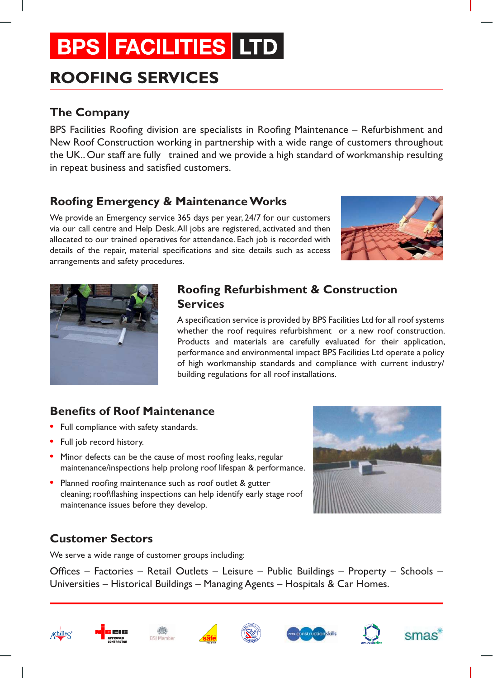## **BPS FACILITIES LTD**

## **ROOFING SERVICES**

## **The Company**

BPS Facilities Roofing division are specialists in Roofing Maintenance – Refurbishment and New Roof Construction working in partnership with a wide range of customers throughout the UK.. Our staff are fully trained and we provide a high standard of workmanship resulting in repeat business and satisfied customers.

## **Roofing Emergency & Maintenance Works**

We provide an Emergency service 365 days per year, 24/7 for our customers via our call centre and Help Desk. All jobs are registered, activated and then allocated to our trained operatives for attendance. Each job is recorded with details of the repair, material specifications and site details such as access arrangements and safety procedures.





## **Roofing Refurbishment & Construction Services**

A specification service is provided by BPS Facilities Ltd for all roof systems whether the roof requires refurbishment or a new roof construction. Products and materials are carefully evaluated for their application, performance and environmental impact BPS Facilities Ltd operate a policy of high workmanship standards and compliance with current industry/ building regulations for all roof installations.

## **Benefits of Roof Maintenance**

- **•** Full compliance with safety standards.
- **•** Full job record history.
- **•** Minor defects can be the cause of most roofing leaks, regular maintenance/inspections help prolong roof lifespan & performance.
- **•** Planned roofing maintenance such as roof outlet & gutter cleaning; roof\flashing inspections can help identify early stage roof maintenance issues before they develop.

## **Customer Sectors**

We serve a wide range of customer groups including:

Offices – Factories – Retail Outlets – Leisure – Public Buildings – Property – Schools – Universities – Historical Buildings – Managing Agents – Hospitals & Car Homes.